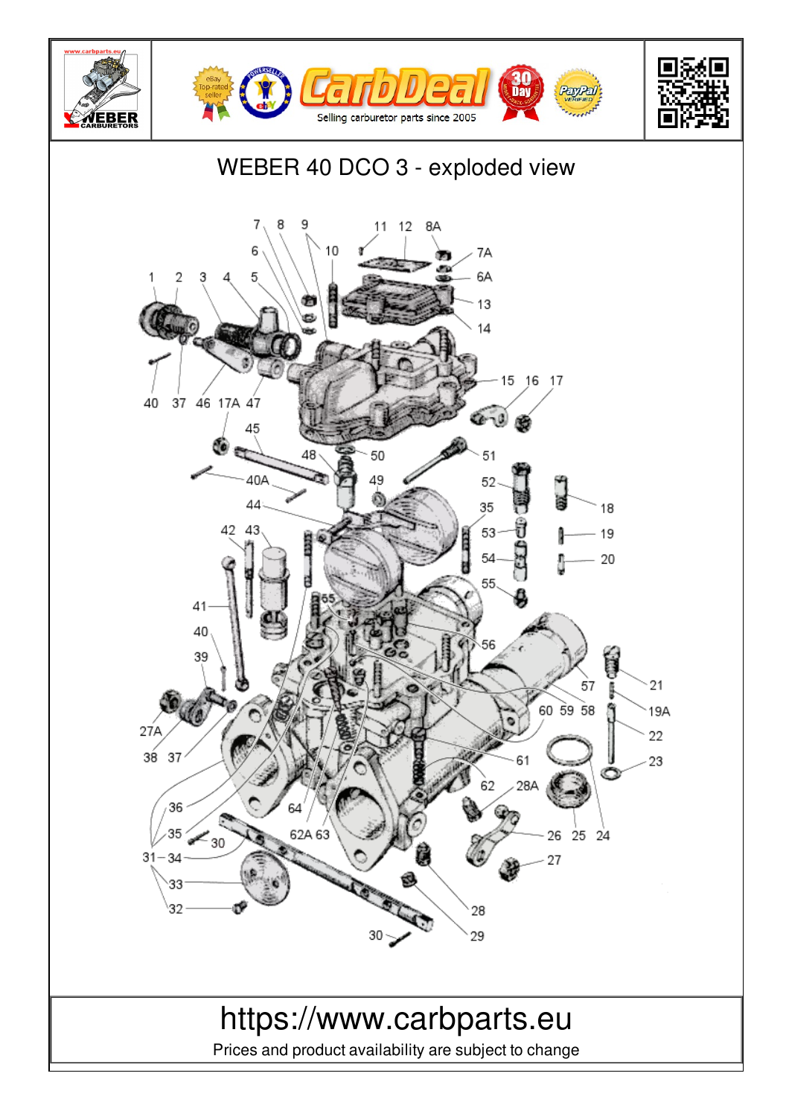